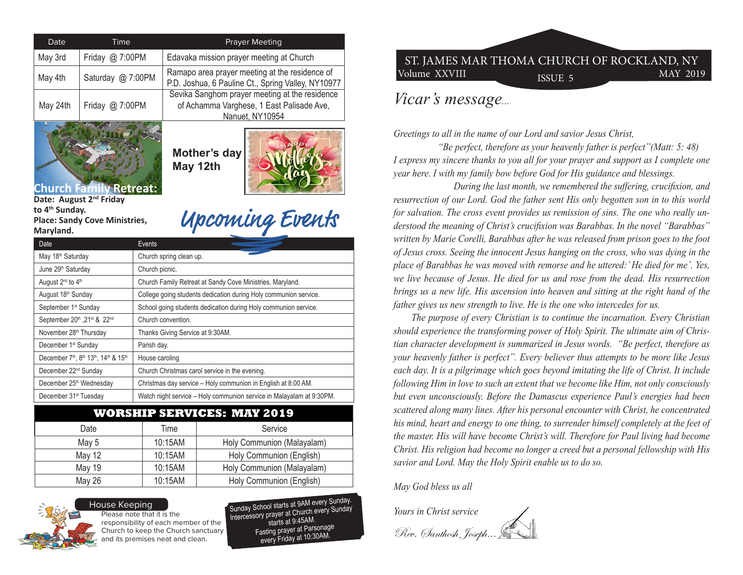| Date                                                                                                                                                                                                   | Time |                         | <b>Prayer Meeting</b>                                                                                          |  |  |  |
|--------------------------------------------------------------------------------------------------------------------------------------------------------------------------------------------------------|------|-------------------------|----------------------------------------------------------------------------------------------------------------|--|--|--|
| May 3rd<br>Friday @ 7:00PM                                                                                                                                                                             |      |                         | Edavaka mission prayer meeting at Church                                                                       |  |  |  |
| Saturday @ 7:00PM<br>May 4th                                                                                                                                                                           |      |                         | Ramapo area prayer meeting at the residence of<br>P.D. Joshua, 6 Pauline Ct., Spring Valley, NY10977           |  |  |  |
| May 24th<br>Friday $@$ 7:00PM                                                                                                                                                                          |      |                         | Sevika Sanghom prayer meeting at the residence<br>of Achamma Varghese, 1 East Palisade Ave,<br>Nanuet, NY10954 |  |  |  |
| Mother's day<br>May 12th<br><b>Church Family Retreat:</b><br>Date: August 2 <sup>nd</sup> Friday<br>to 4 <sup>th</sup> Sunday.<br>Upcoming Events<br><b>Place: Sandy Cove Ministries,</b><br>Maryland. |      |                         |                                                                                                                |  |  |  |
| Date                                                                                                                                                                                                   |      | Events                  |                                                                                                                |  |  |  |
| May 18 <sup>th</sup> Saturday                                                                                                                                                                          |      | Church spring clean up. |                                                                                                                |  |  |  |
| June 29th Saturday                                                                                                                                                                                     |      | Church picnic.          |                                                                                                                |  |  |  |
| August 2 <sup>nd</sup> to 4 <sup>th</sup>                                                                                                                                                              |      |                         | Church Family Retreat at Sandy Cove Ministries, Maryland.                                                      |  |  |  |
| August 18th Sunday                                                                                                                                                                                     |      |                         | College going students dedication during Holy communion service.                                               |  |  |  |
| September 1 <sup>st</sup> Sunday                                                                                                                                                                       |      |                         | School going students dedication during Holy communion service.                                                |  |  |  |
| September 20th , 21st & 22nd                                                                                                                                                                           |      |                         | Church convention.                                                                                             |  |  |  |
| November 28 <sup>th</sup> Thursday                                                                                                                                                                     |      |                         | Thanks Giving Service at 9:30AM.                                                                               |  |  |  |
| December 1 <sup>st</sup> Sunday<br>Parish day.                                                                                                                                                         |      |                         |                                                                                                                |  |  |  |
| December 7th, 8th 13th, 14th & 15th<br>House caroling                                                                                                                                                  |      |                         |                                                                                                                |  |  |  |
| December 22 <sup>nd</sup> Sunday                                                                                                                                                                       |      |                         | Church Christmas carol service in the evening.                                                                 |  |  |  |
| December 25 <sup>th</sup> Wednesday                                                                                                                                                                    |      |                         | Christmas day service - Holy communion in English at 8:00 AM.                                                  |  |  |  |
| December 31 <sup>st</sup> Tuesday                                                                                                                                                                      |      |                         | Watch night service - Holy communion service in Malayalam at 9:30PM.                                           |  |  |  |

## **WORSHIP SERVICES: MAY 2019**

| Date          | Time    | Service                    |
|---------------|---------|----------------------------|
| May 5         | 10:15AM | Holy Communion (Malayalam) |
| <b>May 12</b> | 10:15AM | Holy Communion (English)   |
| <b>May 19</b> | 10:15AM | Holy Communion (Malayalam) |
| May 26        | 10:15AM | Holy Communion (English)   |
|               |         |                            |



Please note that it is the responsibility of each member of the Church to keep the Church sanctuary and its premises neat and clean. House Keeping

Sunday School starts at 9AM every Sunday. Intercessory prayer at Church every Sunday starts at 9:45AM. Fasting prayer at Parsonage every Friday at 10:30AM.

## Volume XXVIII 1SSUE 5 MAY 2019 ST. JAMES MAR THOMA CHURCH OF ROCKLAND, NY

## *Vicar's message...*

*Greetings to all in the name of our Lord and savior Jesus Christ,*

 *"Be perfect, therefore as your heavenly father is perfect"(Matt: 5: 48) I express my sincere thanks to you all for your prayer and support as I complete one year here. I with my family bow before God for His guidance and blessings.* 

 *During the last month, we remembered the suffering, crucifixion, and resurrection of our Lord. God the father sent His only begotten son in to this world for salvation. The cross event provides us remission of sins. The one who really understood the meaning of Christ's crucifixion was Barabbas. In the novel "Barabbas" written by Marie Corelli, Barabbas after he was released from prison goes to the foot of Jesus cross. Seeing the innocent Jesus hanging on the cross, who was dying in the place of Barabbas he was moved with remorse and he uttered:' He died for me'. Yes, we live because of Jesus. He died for us and rose from the dead. His resurrection brings us a new life. His ascension into heaven and sitting at the right hand of the father gives us new strength to live. He is the one who intercedes for us.* 

 *The purpose of every Christian is to continue the incarnation. Every Christian should experience the transforming power of Holy Spirit. The ultimate aim of Christian character development is summarized in Jesus words. "Be perfect, therefore as your heavenly father is perfect". Every believer thus attempts to be more like Jesus each day. It is a pilgrimage which goes beyond imitating the life of Christ. It include following Him in love to such an extent that we become like Him, not only consciously but even unconsciously. Before the Damascus experience Paul's energies had been scattered along many lines. After his personal encounter with Christ, he concentrated his mind, heart and energy to one thing, to surrender himself completely at the feet of the master. His will have become Christ's will. Therefore for Paul living had become Christ. His religion had become no longer a creed but a personal fellowship with His savior and Lord. May the Holy Spirit enable us to do so.* 

*May God bless us all*

*Yours in Christ service*

Rev. Santhosh, Joseph...